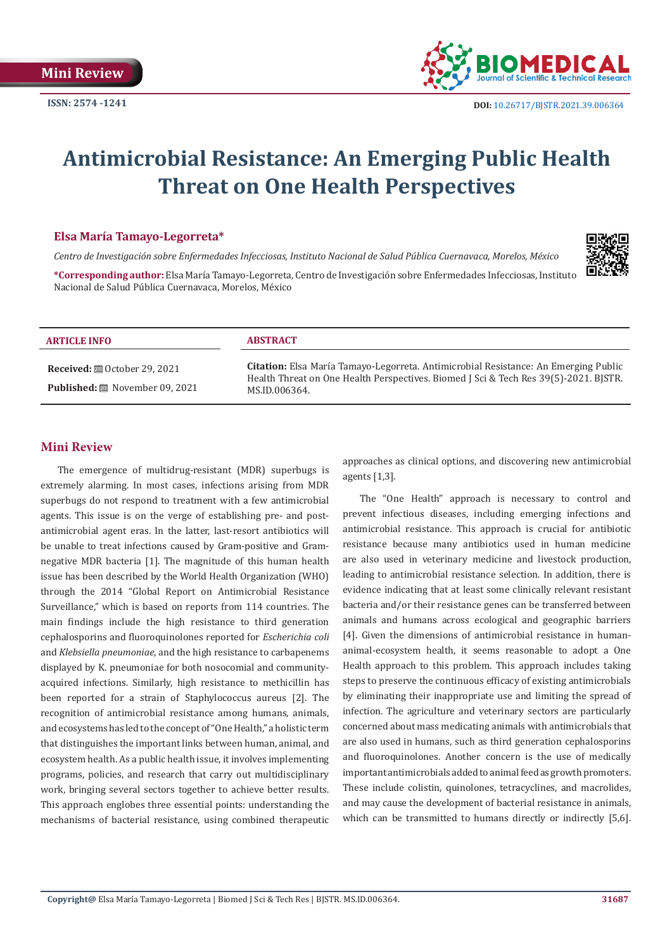

# **Antimicrobial Resistance: An Emerging Public Health Threat on One Health Perspectives**

### **Elsa María Tamayo-Legorreta\***

*Centro de Investigación sobre Enfermedades Infecciosas, Instituto Nacional de Salud Pública Cuernavaca, Morelos, México* 



**\*Corresponding author:** Elsa María Tamayo-Legorreta, Centro de Investigación sobre Enfermedades Infecciosas, Instituto Nacional de Salud Pública Cuernavaca, Morelos, México

| <b>ARTICLE INFO</b>                   | <b>ABSTRACT</b>                                                                                                                                                                                     |
|---------------------------------------|-----------------------------------------------------------------------------------------------------------------------------------------------------------------------------------------------------|
| <b>Published:</b> 圖 November 09, 2021 | <b>Citation:</b> Elsa María Tamayo-Legorreta. Antimicrobial Resistance: An Emerging Public<br>Health Threat on One Health Perspectives. Biomed J Sci & Tech Res 39(5)-2021. BISTR.<br>MS.ID.006364. |

## **Mini Review**

The emergence of multidrug-resistant (MDR) superbugs is extremely alarming. In most cases, infections arising from MDR superbugs do not respond to treatment with a few antimicrobial agents. This issue is on the verge of establishing pre- and postantimicrobial agent eras. In the latter, last-resort antibiotics will be unable to treat infections caused by Gram-positive and Gramnegative MDR bacteria [1]. The magnitude of this human health issue has been described by the World Health Organization (WHO) through the 2014 "Global Report on Antimicrobial Resistance Surveillance," which is based on reports from 114 countries. The main findings include the high resistance to third generation cephalosporins and fluoroquinolones reported for *Escherichia coli* and *Klebsiella pneumoniae*, and the high resistance to carbapenems displayed by K. pneumoniae for both nosocomial and communityacquired infections. Similarly, high resistance to methicillin has been reported for a strain of Staphylococcus aureus [2]. The recognition of antimicrobial resistance among humans, animals, and ecosystems has led to the concept of "One Health," a holistic term that distinguishes the important links between human, animal, and ecosystem health. As a public health issue, it involves implementing programs, policies, and research that carry out multidisciplinary work, bringing several sectors together to achieve better results. This approach englobes three essential points: understanding the mechanisms of bacterial resistance, using combined therapeutic approaches as clinical options, and discovering new antimicrobial agents [1,3].

The "One Health" approach is necessary to control and prevent infectious diseases, including emerging infections and antimicrobial resistance. This approach is crucial for antibiotic resistance because many antibiotics used in human medicine are also used in veterinary medicine and livestock production, leading to antimicrobial resistance selection. In addition, there is evidence indicating that at least some clinically relevant resistant bacteria and/or their resistance genes can be transferred between animals and humans across ecological and geographic barriers [4]. Given the dimensions of antimicrobial resistance in humananimal-ecosystem health, it seems reasonable to adopt a One Health approach to this problem. This approach includes taking steps to preserve the continuous efficacy of existing antimicrobials by eliminating their inappropriate use and limiting the spread of infection. The agriculture and veterinary sectors are particularly concerned about mass medicating animals with antimicrobials that are also used in humans, such as third generation cephalosporins and fluoroquinolones. Another concern is the use of medically important antimicrobials added to animal feed as growth promoters. These include colistin, quinolones, tetracyclines, and macrolides, and may cause the development of bacterial resistance in animals, which can be transmitted to humans directly or indirectly [5,6].